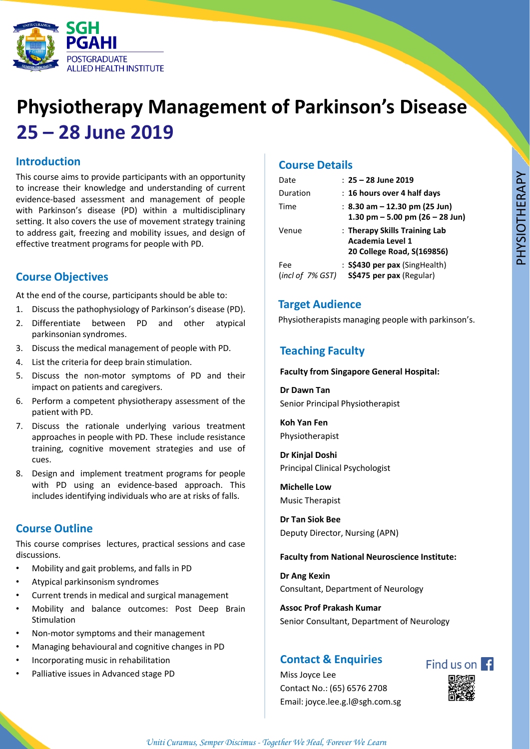

# **Physiotherapy Management of Parkinson's Disease 25 – 28 June 2019**

### **Introduction**

This course aims to provide participants with an opportunity to increase their knowledge and understanding of current evidence-based assessment and management of people with Parkinson's disease (PD) within a multidisciplinary setting. It also covers the use of movement strategy training to address gait, freezing and mobility issues, and design of effective treatment programs for people with PD.

# **Course Objectives**

At the end of the course, participants should be able to:

- 1. Discuss the pathophysiology of Parkinson's disease (PD).
- 2. Differentiate between PD and other atypical parkinsonian syndromes.
- 3. Discuss the medical management of people with PD.
- 4. List the criteria for deep brain stimulation.
- 5. Discuss the non-motor symptoms of PD and their impact on patients and caregivers.
- 6. Perform a competent physiotherapy assessment of the patient with PD.
- 7. Discuss the rationale underlying various treatment approaches in people with PD. These include resistance training, cognitive movement strategies and use of cues.
- 8. Design and implement treatment programs for people with PD using an evidence-based approach. This includes identifying individuals who are at risks of falls.

# **Course Outline**

This course comprises lectures, practical sessions and case discussions.

- Mobility and gait problems, and falls in PD
- Atypical parkinsonism syndromes
- Current trends in medical and surgical management
- Mobility and balance outcomes: Post Deep Brain Stimulation
- Non-motor symptoms and their management
- Managing behavioural and cognitive changes in PD
- Incorporating music in rehabilitation
- Palliative issues in Advanced stage PD

# **Course Details**

| Date                    | $: 25 - 28$ June 2019                                                           |
|-------------------------|---------------------------------------------------------------------------------|
| Duration                | : 16 hours over 4 half days                                                     |
| Time                    | : 8.30 am $-$ 12.30 pm (25 Jun)<br>1.30 pm $-$ 5.00 pm (26 $-$ 28 Jun)          |
| Venue                   | : Therapy Skills Training Lab<br>Academia Level 1<br>20 College Road, S(169856) |
| Fee<br>(incl of 7% GST) | : S\$430 per pax (SingHealth)<br>S\$475 per pax (Regular)                       |

### **Target Audience**

Physiotherapists managing people with parkinson's.

# **Teaching Faculty**

#### **Faculty from Singapore General Hospital:**

**Dr Dawn Tan** Senior Principal Physiotherapist

**Koh Yan Fen** Physiotherapist

**Dr Kinjal Doshi** Principal Clinical Psychologist

**Michelle Low** Music Therapist

**Dr Tan Siok Bee** Deputy Director, Nursing (APN)

#### **Faculty from National Neuroscience Institute:**

**Dr Ang Kexin** Consultant, Department of Neurology

**Assoc Prof Prakash Kumar** Senior Consultant, Department of Neurology

# **Contact & Enquiries**

Miss Joyce Lee Contact No.: (65) 6576 2708 Email: joyce.lee.g.l@sgh.com.sg